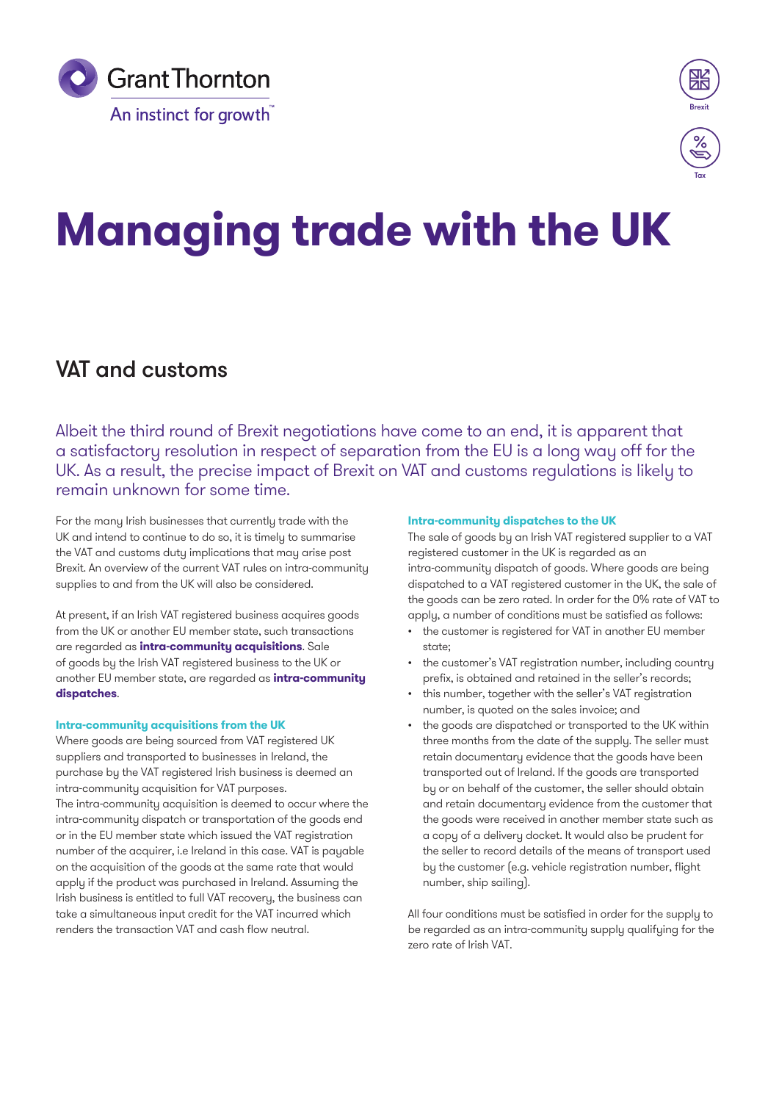



# **Managing trade with the UK**

## VAT and customs

Albeit the third round of Brexit negotiations have come to an end, it is apparent that a satisfactory resolution in respect of separation from the EU is a long way off for the UK. As a result, the precise impact of Brexit on VAT and customs regulations is likely to remain unknown for some time.

For the many Irish businesses that currently trade with the UK and intend to continue to do so, it is timely to summarise the VAT and customs duty implications that may arise post Brexit. An overview of the current VAT rules on intra-community supplies to and from the UK will also be considered.

At present, if an Irish VAT registered business acquires goods from the UK or another EU member state, such transactions are regarded as **intra-community acquisitions**. Sale of goods by the Irish VAT registered business to the UK or another EU member state, are regarded as **intra-community dispatches**.

#### **Intra-community acquisitions from the UK**

Where goods are being sourced from VAT registered UK suppliers and transported to businesses in Ireland, the purchase by the VAT registered Irish business is deemed an intra-community acquisition for VAT purposes. The intra-community acquisition is deemed to occur where the intra-community dispatch or transportation of the goods end or in the EU member state which issued the VAT registration number of the acquirer, i.e Ireland in this case. VAT is payable on the acquisition of the goods at the same rate that would apply if the product was purchased in Ireland. Assuming the Irish business is entitled to full VAT recovery, the business can take a simultaneous input credit for the VAT incurred which renders the transaction VAT and cash flow neutral.

#### **Intra-community dispatches to the UK**

The sale of goods by an Irish VAT registered supplier to a VAT registered customer in the UK is regarded as an intra-community dispatch of goods. Where goods are being dispatched to a VAT registered customer in the UK, the sale of the goods can be zero rated. In order for the 0% rate of VAT to apply, a number of conditions must be satisfied as follows:

- the customer is registered for VAT in another EU member state;
- the customer's VAT registration number, including country prefix, is obtained and retained in the seller's records;
- this number, together with the seller's VAT registration number, is quoted on the sales invoice; and
- the goods are dispatched or transported to the UK within three months from the date of the supply. The seller must retain documentary evidence that the goods have been transported out of Ireland. If the goods are transported by or on behalf of the customer, the seller should obtain and retain documentary evidence from the customer that the goods were received in another member state such as a copy of a delivery docket. It would also be prudent for the seller to record details of the means of transport used by the customer (e.g. vehicle registration number, flight number, ship sailing).

All four conditions must be satisfied in order for the supply to be regarded as an intra-community supply qualifying for the zero rate of Irish VAT.